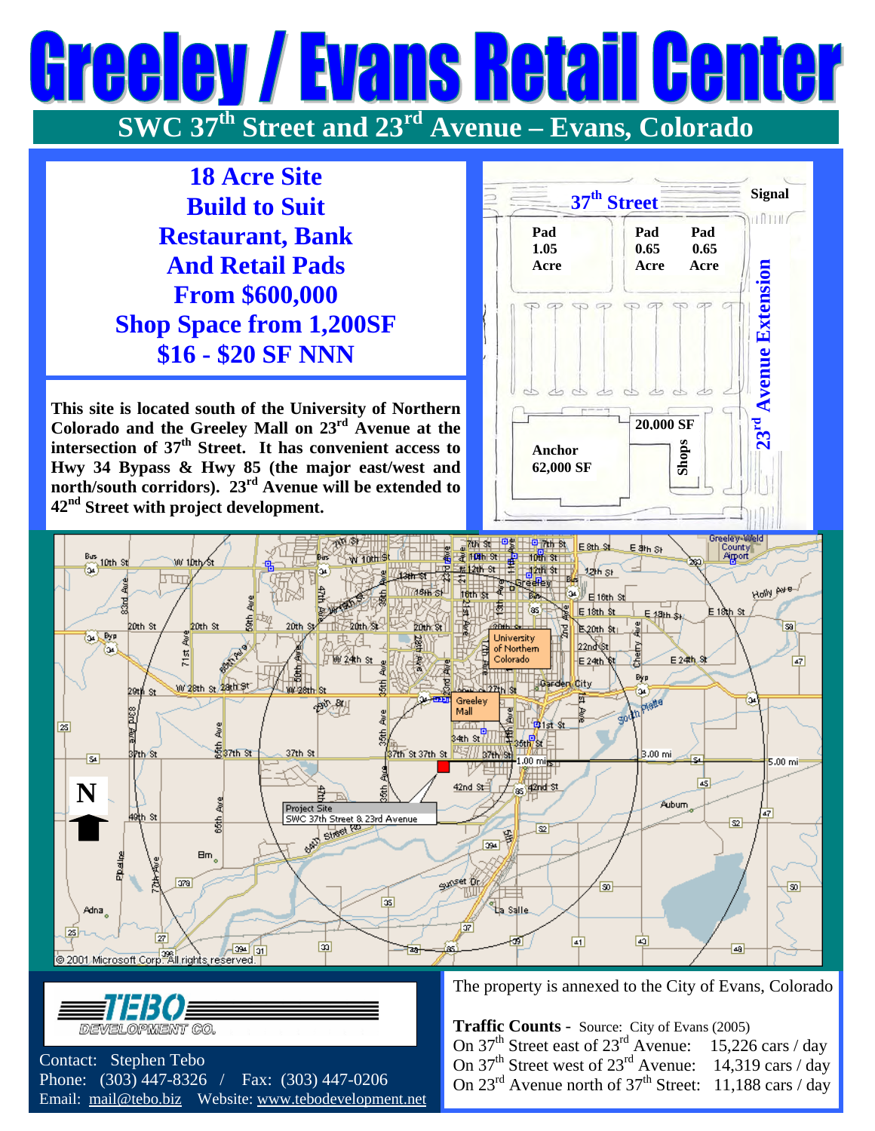## Evans Reta  $\theta$ I HA **SWC 37th Street and 23rd Avenue – Evans, Colorado**

**18 Acre Site Build to Suit Restaurant, Bank And Retail Pads From \$600,000 Shop Space from 1,200SF \$16 - \$20 SF NNN** 

**This site is located south of the University of Northern Colorado and the Greeley Mall on 23rd Avenue at the intersection of 37th Street. It has convenient access to Hwy 34 Bypass & Hwy 85 (the major east/west and north/south corridors). 23rd Avenue will be extended to 42nd Street with project development.** 







 Contact: Stephen Tebo Phone: (303) 447-8326 / Fax: (303) 447-0206 Email: [mail@tebo.biz](mailto:mail@tebo.biz) Website: [www.tebodevelopment.net](http://www.tebodevelopment.net/)  The property is annexed to the City of Evans, Colorado

 **Traffic Counts** - Source: City of Evans (2005) On  $37<sup>th</sup>$  Street east of  $23<sup>rd</sup>$  Avenue: 15,226 cars / day On  $37<sup>th</sup>$  Street west of  $23<sup>rd</sup>$  Avenue: 14,319 cars / day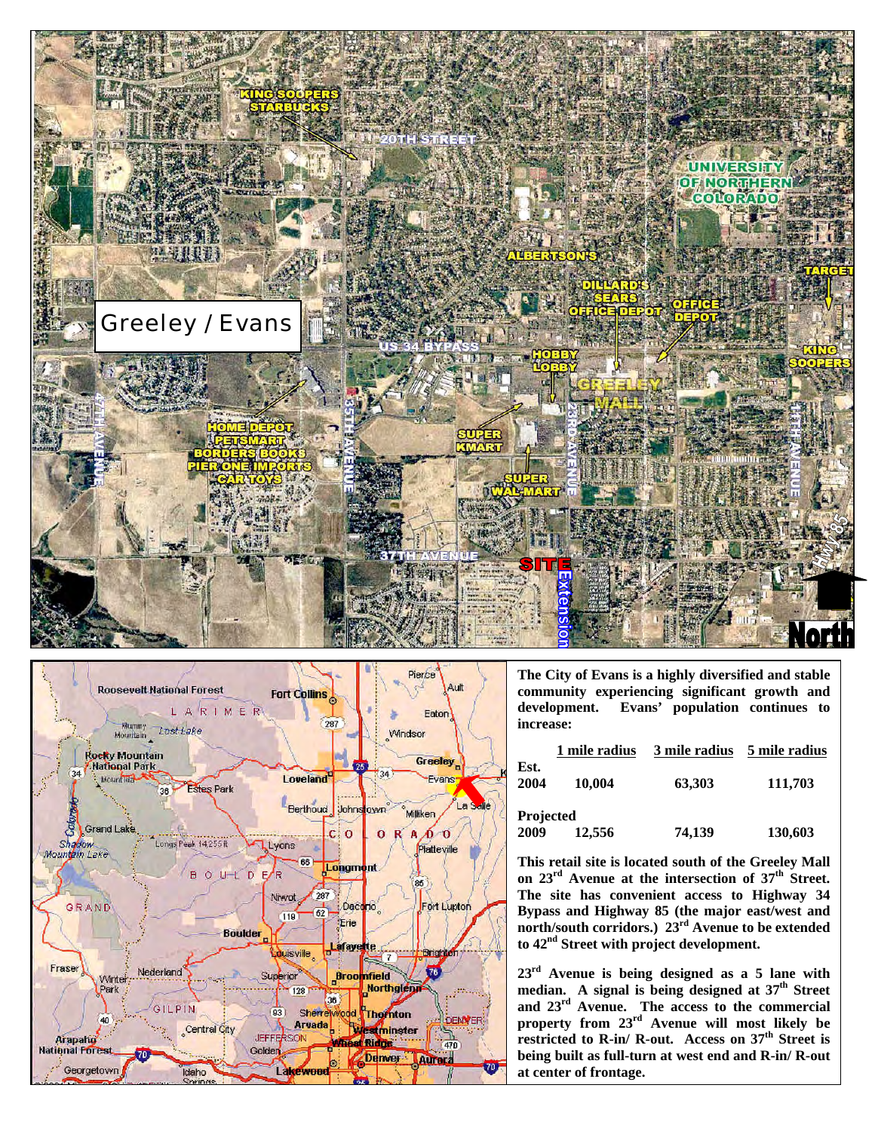



**The City of Evans is a highly diversified and stable community experiencing significant growth and development. Evans' population continues to increase:** 

|                   | 1 mile radius | 3 mile radius | 5 mile radius |
|-------------------|---------------|---------------|---------------|
| Est.<br>2004      | 10,004        | 63,303        | 111,703       |
| Projected<br>2009 | 12,556        | 74,139        | 130,603       |

**This retail site is located south of the Greeley Mall** on 23<sup>rd</sup> Avenue at the intersection of 37<sup>th</sup> Street. **The site has convenient access to Highway 34 Bypass and Highway 85 (the major east/west and north/south corridors.) 23rd Avenue to be extended to 42nd Street with project development.** 

**23rd Avenue is being designed as a 5 lane with median. A signal is being designed at 37th Street and 23rd Avenue. The access to the commercial property from 23rd Avenue will most likely be restricted to R-in/ R-out. Access on 37th Street is being built as full-turn at west end and R-in/ R-out at center of frontage.**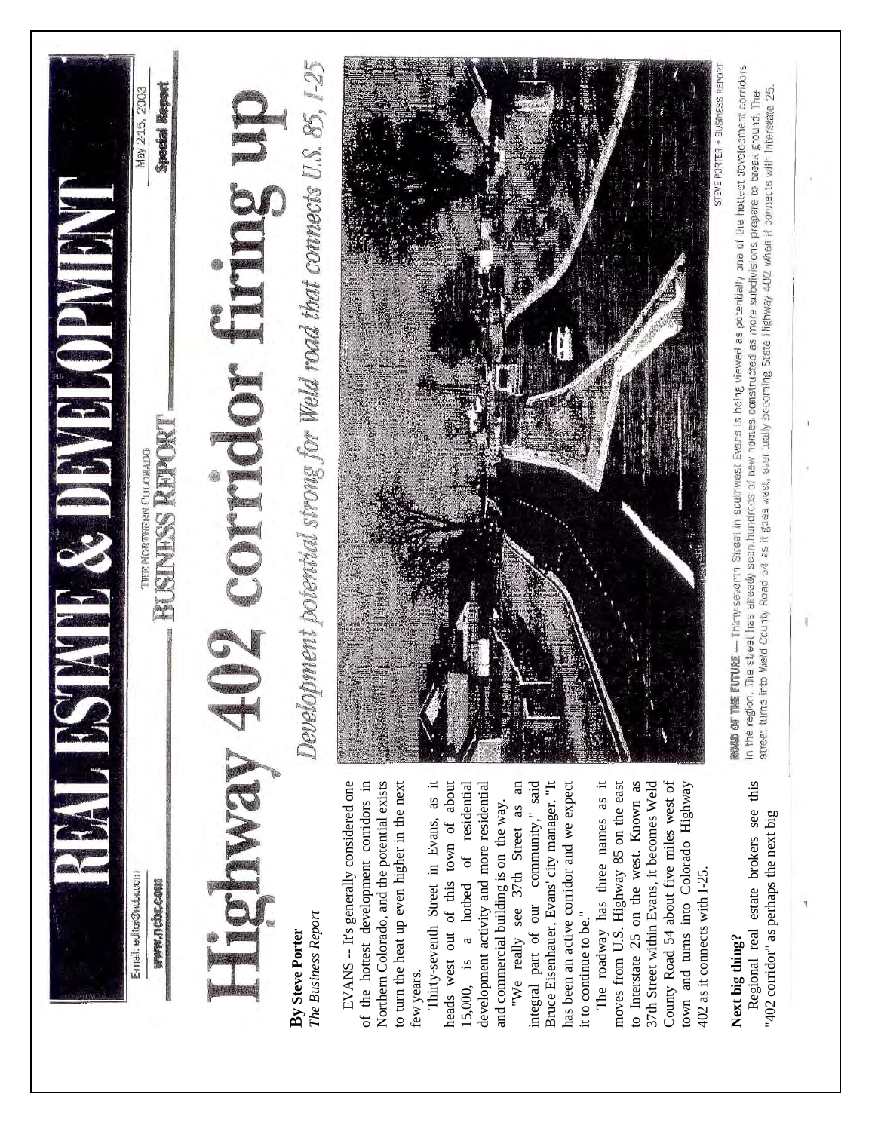